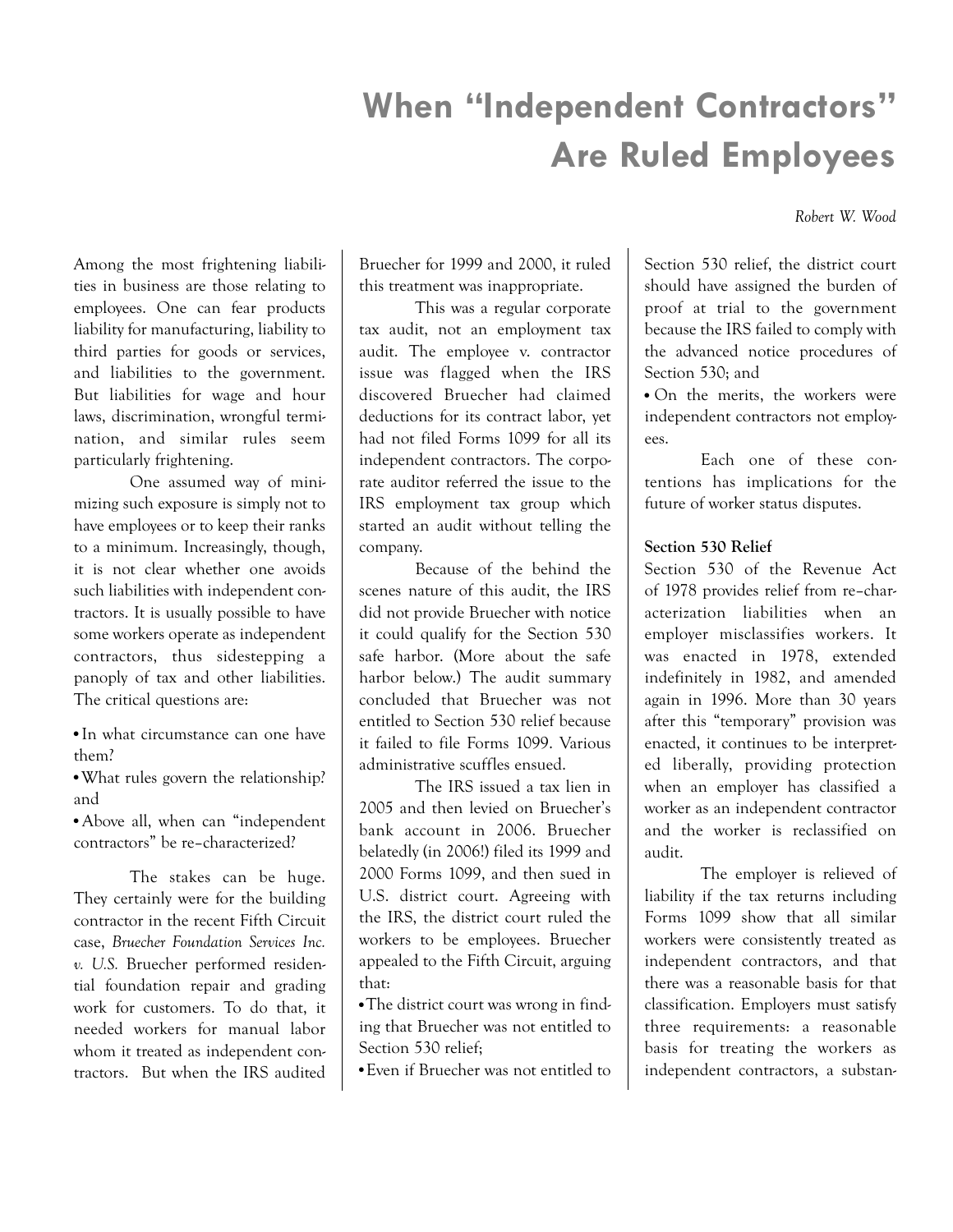# When "Independent Contractors" Are Ruled Employees

Robert W. Wood

Among the most frightening liabilities in business are those relating to employees. One can fear products liability for manufacturing, liability to third parties for goods or services, and liabilities to the government. But liabilities for wage and hour laws, discrimination, wrongful termination, and similar rules seem particularly frightening.

One assumed way of minimizing such exposure is simply not to have employees or to keep their ranks to a minimum. Increasingly, though, it is not clear whether one avoids such liabilities with independent contractors. It is usually possible to have some workers operate as independent contractors, thus sidestepping a panoply of tax and other liabilities. The critical questions are:

• In what circumstance can one have them?

• What rules govern the relationship? and

• Above all, when can "independent contractors" be re–characterized?

The stakes can be huge. They certainly were for the building contractor in the recent Fifth Circuit case, Bruecher Foundation Services Inc. v. U.S. Bruecher performed residential foundation repair and grading work for customers. To do that, it needed workers for manual labor whom it treated as independent contractors. But when the IRS audited Bruecher for 1999 and 2000, it ruled this treatment was inappropriate.

This was a regular corporate tax audit, not an employment tax audit. The employee v. contractor issue was flagged when the IRS discovered Bruecher had claimed deductions for its contract labor, yet had not filed Forms 1099 for all its independent contractors. The corporate auditor referred the issue to the IRS employment tax group which started an audit without telling the company.

Because of the behind the scenes nature of this audit, the IRS did not provide Bruecher with notice it could qualify for the Section 530 safe harbor. (More about the safe harbor below.) The audit summary concluded that Bruecher was not entitled to Section 530 relief because it failed to file Forms 1099. Various administrative scuffles ensued.

The IRS issued a tax lien in 2005 and then levied on Bruecher's bank account in 2006. Bruecher belatedly (in 2006!) filed its 1999 and 2000 Forms 1099, and then sued in U.S. district court. Agreeing with the IRS, the district court ruled the workers to be employees. Bruecher appealed to the Fifth Circuit, arguing that:

• The district court was wrong in finding that Bruecher was not entitled to Section 530 relief;

<sup>n</sup> Even if Bruecher was not entitled to

Section 530 relief, the district court should have assigned the burden of proof at trial to the government because the IRS failed to comply with the advanced notice procedures of Section 530; and

• On the merits, the workers were independent contractors not employees.

Each one of these contentions has implications for the future of worker status disputes.

# Section 530 Relief

Section 530 of the Revenue Act of 1978 provides relief from re–characterization liabilities when an employer misclassifies workers. It was enacted in 1978, extended indefinitely in 1982, and amended again in 1996. More than 30 years after this "temporary" provision was enacted, it continues to be interpreted liberally, providing protection when an employer has classified a worker as an independent contractor and the worker is reclassified on audit.

The employer is relieved of liability if the tax returns including Forms 1099 show that all similar workers were consistently treated as independent contractors, and that there was a reasonable basis for that classification. Employers must satisfy three requirements: a reasonable basis for treating the workers as independent contractors, a substan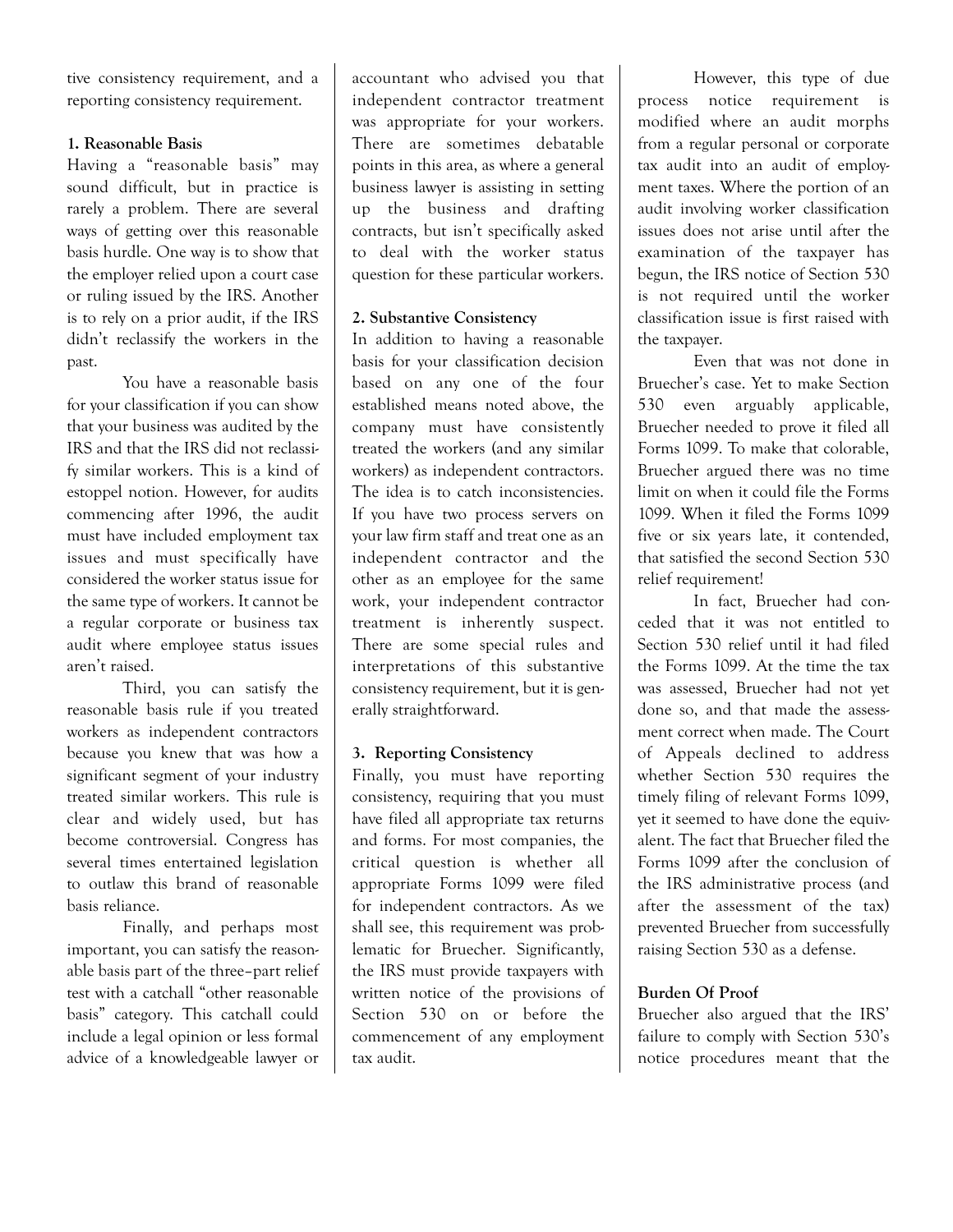tive consistency requirement, and a reporting consistency requirement.

## 1. Reasonable Basis

Having a "reasonable basis" may sound difficult, but in practice is rarely a problem. There are several ways of getting over this reasonable basis hurdle. One way is to show that the employer relied upon a court case or ruling issued by the IRS. Another is to rely on a prior audit, if the IRS didn't reclassify the workers in the past.

You have a reasonable basis for your classification if you can show that your business was audited by the IRS and that the IRS did not reclassify similar workers. This is a kind of estoppel notion. However, for audits commencing after 1996, the audit must have included employment tax issues and must specifically have considered the worker status issue for the same type of workers. It cannot be a regular corporate or business tax audit where employee status issues aren't raised.

Third, you can satisfy the reasonable basis rule if you treated workers as independent contractors because you knew that was how a significant segment of your industry treated similar workers. This rule is clear and widely used, but has become controversial. Congress has several times entertained legislation to outlaw this brand of reasonable basis reliance.

Finally, and perhaps most important, you can satisfy the reasonable basis part of the three–part relief test with a catchall "other reasonable basis" category. This catchall could include a legal opinion or less formal advice of a knowledgeable lawyer or

accountant who advised you that independent contractor treatment was appropriate for your workers. There are sometimes debatable points in this area, as where a general business lawyer is assisting in setting up the business and drafting contracts, but isn't specifically asked to deal with the worker status question for these particular workers.

## 2. Substantive Consistency

In addition to having a reasonable basis for your classification decision based on any one of the four established means noted above, the company must have consistently treated the workers (and any similar workers) as independent contractors. The idea is to catch inconsistencies. If you have two process servers on your law firm staff and treat one as an independent contractor and the other as an employee for the same work, your independent contractor treatment is inherently suspect. There are some special rules and interpretations of this substantive consistency requirement, but it is generally straightforward.

## 3. Reporting Consistency

Finally, you must have reporting consistency, requiring that you must have filed all appropriate tax returns and forms. For most companies, the critical question is whether all appropriate Forms 1099 were filed for independent contractors. As we shall see, this requirement was problematic for Bruecher. Significantly, the IRS must provide taxpayers with written notice of the provisions of Section 530 on or before the commencement of any employment tax audit.

However, this type of due process notice requirement is modified where an audit morphs from a regular personal or corporate tax audit into an audit of employment taxes. Where the portion of an audit involving worker classification issues does not arise until after the examination of the taxpayer has begun, the IRS notice of Section 530 is not required until the worker classification issue is first raised with the taxpayer.

Even that was not done in Bruecher's case. Yet to make Section 530 even arguably applicable, Bruecher needed to prove it filed all Forms 1099. To make that colorable, Bruecher argued there was no time limit on when it could file the Forms 1099. When it filed the Forms 1099 five or six years late, it contended, that satisfied the second Section 530 relief requirement!

In fact, Bruecher had conceded that it was not entitled to Section 530 relief until it had filed the Forms 1099. At the time the tax was assessed, Bruecher had not yet done so, and that made the assessment correct when made. The Court of Appeals declined to address whether Section 530 requires the timely filing of relevant Forms 1099, yet it seemed to have done the equivalent. The fact that Bruecher filed the Forms 1099 after the conclusion of the IRS administrative process (and after the assessment of the tax) prevented Bruecher from successfully raising Section 530 as a defense.

# Burden Of Proof

Bruecher also argued that the IRS' failure to comply with Section 530's notice procedures meant that the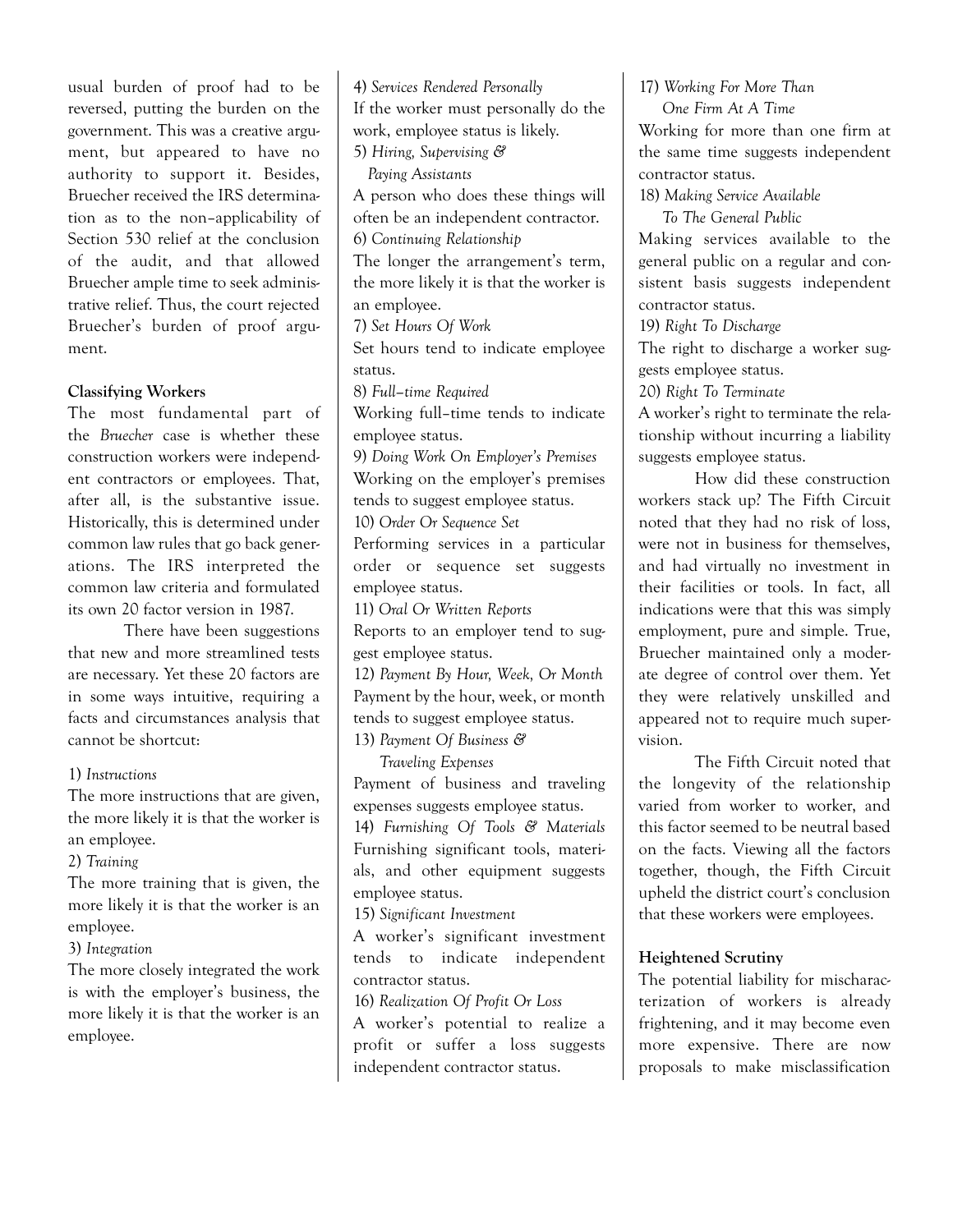usual burden of proof had to be reversed, putting the burden on the government. This was a creative argument, but appeared to have no authority to support it. Besides, Bruecher received the IRS determination as to the non–applicability of Section 530 relief at the conclusion of the audit, and that allowed Bruecher ample time to seek administrative relief. Thus, the court rejected Bruecher's burden of proof argument.

## Classifying Workers

The most fundamental part of the Bruecher case is whether these construction workers were independent contractors or employees. That, after all, is the substantive issue. Historically, this is determined under common law rules that go back generations. The IRS interpreted the common law criteria and formulated its own 20 factor version in 1987.

There have been suggestions that new and more streamlined tests are necessary. Yet these 20 factors are in some ways intuitive, requiring a facts and circumstances analysis that cannot be shortcut:

1) Instructions

The more instructions that are given, the more likely it is that the worker is an employee.

2) Training

The more training that is given, the more likely it is that the worker is an employee.

3) Integration

The more closely integrated the work is with the employer's business, the more likely it is that the worker is an employee.

4) Services Rendered Personally If the worker must personally do the work, employee status is likely. 5) Hiring, Supervising & Paying Assistants A person who does these things will often be an independent contractor. 6) Continuing Relationship The longer the arrangement's term, the more likely it is that the worker is an employee. 7) Set Hours Of Work Set hours tend to indicate employee status. 8) Full–time Required Working full–time tends to indicate employee status. 9) Doing Work On Employer's Premises Working on the employer's premises tends to suggest employee status. 10) Order Or Sequence Set Performing services in a particular order or sequence set suggests employee status. 11) Oral Or Written Reports Reports to an employer tend to suggest employee status. 12) Payment By Hour, Week, Or Month Payment by the hour, week, or month tends to suggest employee status. 13) Payment Of Business & Traveling Expenses Payment of business and traveling expenses suggests employee status. 14) Furnishing Of Tools & Materials Furnishing significant tools, materials, and other equipment suggests employee status. 15) Significant Investment A worker's significant investment tends to indicate independent contractor status. 16) Realization Of Profit Or Loss A worker's potential to realize a profit or suffer a loss suggests independent contractor status.

17) Working For More Than One Firm At A Time Working for more than one firm at the same time suggests independent contractor status. 18) Making Service Available To The General Public Making services available to the general public on a regular and consistent basis suggests independent contractor status. 19) Right To Discharge The right to discharge a worker suggests employee status. 20) Right To Terminate A worker's right to terminate the relationship without incurring a liability suggests employee status. How did these construction workers stack up? The Fifth Circuit noted that they had no risk of loss, were not in business for themselves,

vision. The Fifth Circuit noted that the longevity of the relationship varied from worker to worker, and this factor seemed to be neutral based on the facts. Viewing all the factors together, though, the Fifth Circuit upheld the district court's conclusion that these workers were employees.

and had virtually no investment in their facilities or tools. In fact, all indications were that this was simply employment, pure and simple. True, Bruecher maintained only a moderate degree of control over them. Yet they were relatively unskilled and appeared not to require much super-

## Heightened Scrutiny

The potential liability for mischaracterization of workers is already frightening, and it may become even more expensive. There are now proposals to make misclassification